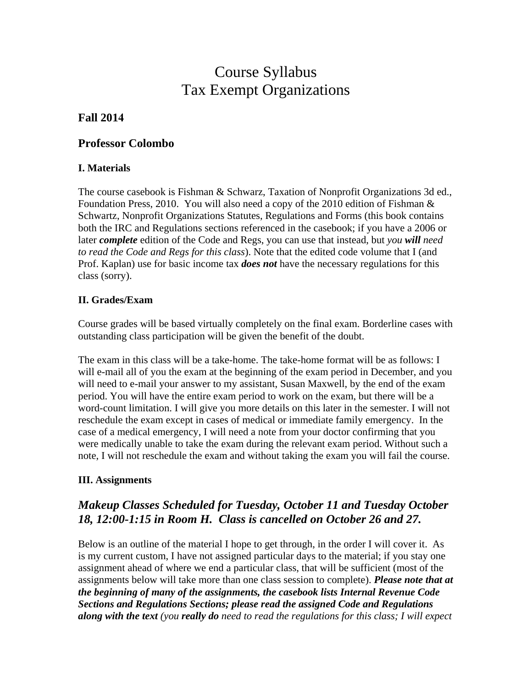# Course Syllabus Tax Exempt Organizations

## **Fall 2014**

### **Professor Colombo**

#### **I. Materials**

The course casebook is Fishman & Schwarz, Taxation of Nonprofit Organizations 3d ed., Foundation Press, 2010. You will also need a copy of the 2010 edition of Fishman  $\&$ Schwartz, Nonprofit Organizations Statutes, Regulations and Forms (this book contains both the IRC and Regulations sections referenced in the casebook; if you have a 2006 or later *complete* edition of the Code and Regs, you can use that instead, but *you will need to read the Code and Regs for this class*). Note that the edited code volume that I (and Prof. Kaplan) use for basic income tax *does not* have the necessary regulations for this class (sorry).

#### **II. Grades/Exam**

Course grades will be based virtually completely on the final exam. Borderline cases with outstanding class participation will be given the benefit of the doubt.

The exam in this class will be a take-home. The take-home format will be as follows: I will e-mail all of you the exam at the beginning of the exam period in December, and you will need to e-mail your answer to my assistant, Susan Maxwell, by the end of the exam period. You will have the entire exam period to work on the exam, but there will be a word-count limitation. I will give you more details on this later in the semester. I will not reschedule the exam except in cases of medical or immediate family emergency. In the case of a medical emergency, I will need a note from your doctor confirming that you were medically unable to take the exam during the relevant exam period. Without such a note, I will not reschedule the exam and without taking the exam you will fail the course.

#### **III. Assignments**

## *Makeup Classes Scheduled for Tuesday, October 11 and Tuesday October 18, 12:00-1:15 in Room H. Class is cancelled on October 26 and 27.*

Below is an outline of the material I hope to get through, in the order I will cover it. As is my current custom, I have not assigned particular days to the material; if you stay one assignment ahead of where we end a particular class, that will be sufficient (most of the assignments below will take more than one class session to complete). *Please note that at the beginning of many of the assignments, the casebook lists Internal Revenue Code Sections and Regulations Sections; please read the assigned Code and Regulations along with the text (you really do need to read the regulations for this class; I will expect*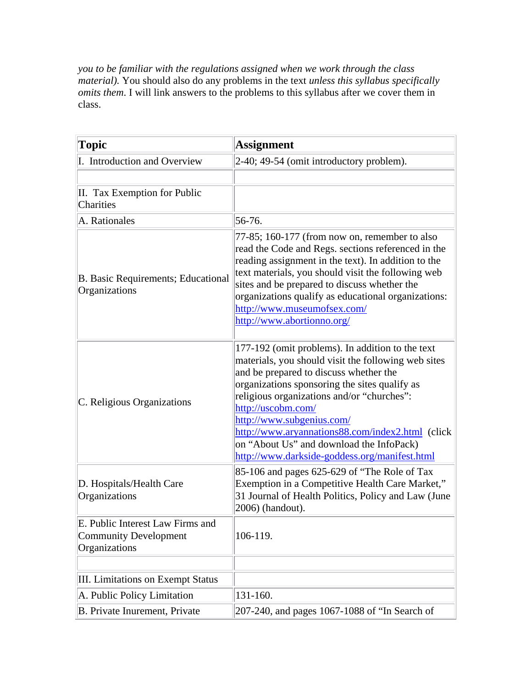*you to be familiar with the regulations assigned when we work through the class material).* You should also do any problems in the text *unless this syllabus specifically omits them*. I will link answers to the problems to this syllabus after we cover them in class.

| Topic                                                                             | <b>Assignment</b>                                                                                                                                                                                                                                                                                                                                                                                                                                    |
|-----------------------------------------------------------------------------------|------------------------------------------------------------------------------------------------------------------------------------------------------------------------------------------------------------------------------------------------------------------------------------------------------------------------------------------------------------------------------------------------------------------------------------------------------|
| I. Introduction and Overview                                                      | $2-40$ ; 49-54 (omit introductory problem).                                                                                                                                                                                                                                                                                                                                                                                                          |
|                                                                                   |                                                                                                                                                                                                                                                                                                                                                                                                                                                      |
| II. Tax Exemption for Public<br>Charities                                         |                                                                                                                                                                                                                                                                                                                                                                                                                                                      |
| A. Rationales                                                                     | 56-76.                                                                                                                                                                                                                                                                                                                                                                                                                                               |
| B. Basic Requirements; Educational<br>Organizations                               | 77-85; 160-177 (from now on, remember to also<br>read the Code and Regs. sections referenced in the<br>reading assignment in the text). In addition to the<br>text materials, you should visit the following web<br>sites and be prepared to discuss whether the<br>organizations qualify as educational organizations:<br>http://www.museumofsex.com/<br>http://www.abortionno.org/                                                                 |
| C. Religious Organizations                                                        | 177-192 (omit problems). In addition to the text<br>materials, you should visit the following web sites<br>and be prepared to discuss whether the<br>organizations sponsoring the sites qualify as<br>religious organizations and/or "churches":<br>http://uscobm.com/<br>http://www.subgenius.com/<br>http://www.aryannations88.com/index2.html (click<br>on "About Us" and download the InfoPack)<br>http://www.darkside-goddess.org/manifest.html |
| D. Hospitals/Health Care<br>Organizations                                         | $85-106$ and pages 625-629 of "The Role of Tax<br>Exemption in a Competitive Health Care Market,"<br>31 Journal of Health Politics, Policy and Law (June<br>2006) (handout).                                                                                                                                                                                                                                                                         |
| E. Public Interest Law Firms and<br><b>Community Development</b><br>Organizations | 106-119.                                                                                                                                                                                                                                                                                                                                                                                                                                             |
|                                                                                   |                                                                                                                                                                                                                                                                                                                                                                                                                                                      |
| III. Limitations on Exempt Status                                                 |                                                                                                                                                                                                                                                                                                                                                                                                                                                      |
| A. Public Policy Limitation                                                       | 131-160.                                                                                                                                                                                                                                                                                                                                                                                                                                             |
| B. Private Inurement, Private                                                     | 207-240, and pages 1067-1088 of "In Search of                                                                                                                                                                                                                                                                                                                                                                                                        |